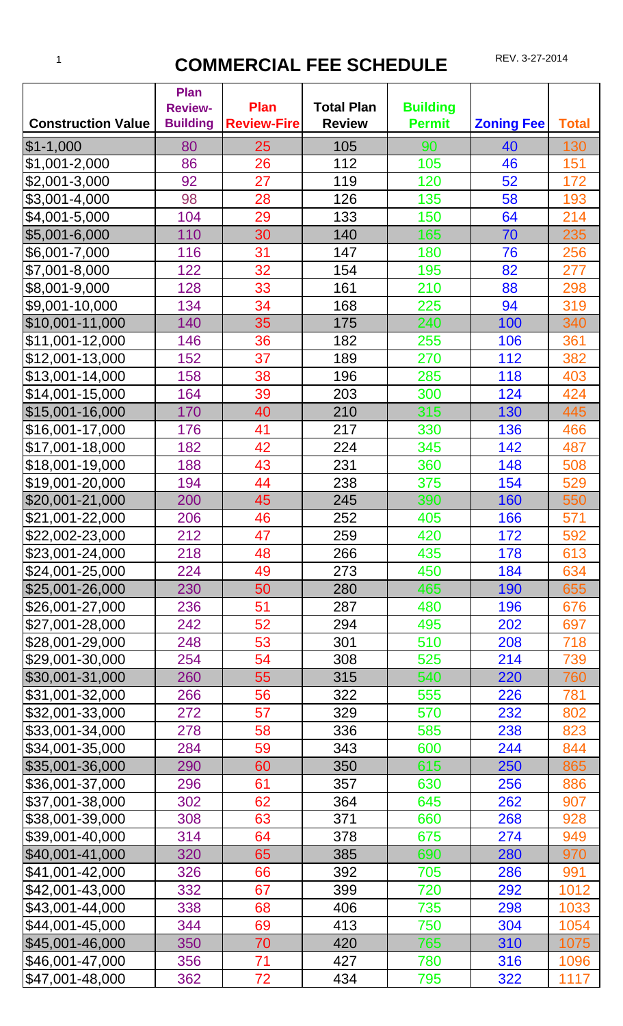## 1 **COMMERCIAL FEE SCHEDULE** REV. 3-27-2014

| <b>Construction Value</b> | <b>Plan</b><br><b>Review-</b><br><b>Building</b> | <b>Plan</b><br><b>Review-Fire</b> | <b>Total Plan</b><br><b>Review</b> | <b>Building</b><br><b>Permit</b> | <b>Zoning Fee</b> | <b>Total</b> |
|---------------------------|--------------------------------------------------|-----------------------------------|------------------------------------|----------------------------------|-------------------|--------------|
| $$1-1,000$                | 80                                               | 25                                | 105                                | 90                               | 40                | 130          |
| \$1,001-2,000             | 86                                               | 26                                | 112                                | 105                              | 46                | 151          |
| \$2,001-3,000             | 92                                               | 27                                | 119                                | 120                              | 52                | 172          |
| \$3,001-4,000             | 98                                               | 28                                | 126                                | 135                              | 58                | 193          |
| \$4,001-5,000             | 104                                              | 29                                | 133                                | 150                              | 64                | 214          |
| $$5,001 - 6,000$          | 110                                              | 30                                | 140                                | 165                              | 70                | 235          |
| \$6,001-7,000             | 116                                              | 31                                | 147                                | 180                              | 76                | 256          |
| \$7,001-8,000             | 122                                              | 32                                | 154                                | 195                              | 82                | 277          |
| \$8,001-9,000             | 128                                              | 33                                | 161                                | 210                              | 88                | 298          |
| \$9,001-10,000            | 134                                              | 34                                | 168                                | 225                              | 94                | 319          |
| \$10,001-11,000           | 140                                              | 35                                | 175                                | 240                              | 100               | 340          |
| \$11,001-12,000           | 146                                              | 36                                | 182                                | 255                              | 106               | 361          |
| \$12,001-13,000           | 152                                              | 37                                | 189                                | 270                              | 112               | 382          |
| \$13,001-14,000           | 158                                              | 38                                | 196                                | 285                              | 118               | 403          |
| \$14,001-15,000           | 164                                              | 39                                | 203                                | 300                              | 124               | 424          |
| \$15,001-16,000           | 170                                              | 40                                | 210                                | 315                              | 130               | 445          |
| \$16,001-17,000           | 176                                              | 41                                | 217                                | 330                              | 136               | 466          |
| \$17,001-18,000           | 182                                              | 42                                | 224                                | 345                              | 142               | 487          |
| \$18,001-19,000           | 188                                              | 43                                | 231                                | 360                              | 148               | 508          |
| \$19,001-20,000           | 194                                              | 44                                | 238                                | 375                              | 154               | 529          |
| \$20,001-21,000           | 200                                              | 45                                | 245                                | 390                              | 160               | 550          |
| \$21,001-22,000           | 206                                              | 46                                | 252                                | 405                              | 166               | 571          |
| \$22,002-23,000           | 212                                              | 47                                | 259                                | 420                              | 172               | 592          |
| \$23,001-24,000           | 218                                              | 48                                | 266                                | 435                              | 178               | 613          |
| \$24,001-25,000           | 224                                              | 49                                | 273                                | 450                              | 184               | 634          |
| \$25,001-26,000           | 230                                              | 50                                | 280                                | 465                              | 190               | 655          |
| \$26,001-27,000           | 236                                              | 51                                | 287                                | 480                              | 196               | 676          |
| \$27,001-28,000           | 242                                              | 52                                | 294                                | 495                              | 202               | 697          |
| \$28,001-29,000           | 248                                              | 53                                | 301                                | 510                              | 208               | 718          |
| \$29,001-30,000           | 254                                              | 54                                | 308                                | 525                              | 214               | 739          |
| \$30,001-31,000           | 260                                              | 55                                | 315                                | 540                              | 220               | 760          |
| \$31,001-32,000           | 266                                              | 56                                | 322                                | 555                              | 226               | 781          |
| \$32,001-33,000           | 272                                              | 57                                | 329                                | 570                              | 232               | 802          |
| \$33,001-34,000           | 278                                              | 58                                | 336                                | 585                              | 238               | 823          |
| \$34,001-35,000           | 284                                              | 59                                | 343                                | 600                              | 244               | 844          |
| \$35,001-36,000           | 290                                              | 60                                | 350                                | 615                              | 250               | 865          |
| \$36,001-37,000           | 296                                              | 61                                | 357                                | 630                              | 256               | 886          |
| \$37,001-38,000           | 302                                              | 62                                | 364                                | 645                              | 262               | 907          |
| \$38,001-39,000           | 308                                              | 63                                | 371                                | 660                              | 268               | 928          |
| \$39,001-40,000           | 314                                              | 64                                | 378                                | 675                              | 274               | 949          |
| \$40,001-41,000           | 320                                              | 65                                | 385                                | 690                              | 280               | 970          |
| \$41,001-42,000           | 326                                              | 66                                | 392                                | 705                              | 286               | 991          |
| \$42,001-43,000           | 332                                              | 67                                | 399                                | 720                              | 292               | 1012         |
| \$43,001-44,000           | 338                                              | 68                                | 406                                | 735                              | 298               | 1033         |
| \$44,001-45,000           | 344                                              | 69                                | 413                                | 750                              | 304               | 1054         |
| \$45,001-46,000           | 350                                              | 70                                | 420                                | 765                              | 310               | 1075         |
| \$46,001-47,000           | 356                                              | 71                                | 427                                | 780                              | 316               | 1096         |
| \$47,001-48,000           | 362                                              | 72                                | 434                                | 795                              | 322               | 1117         |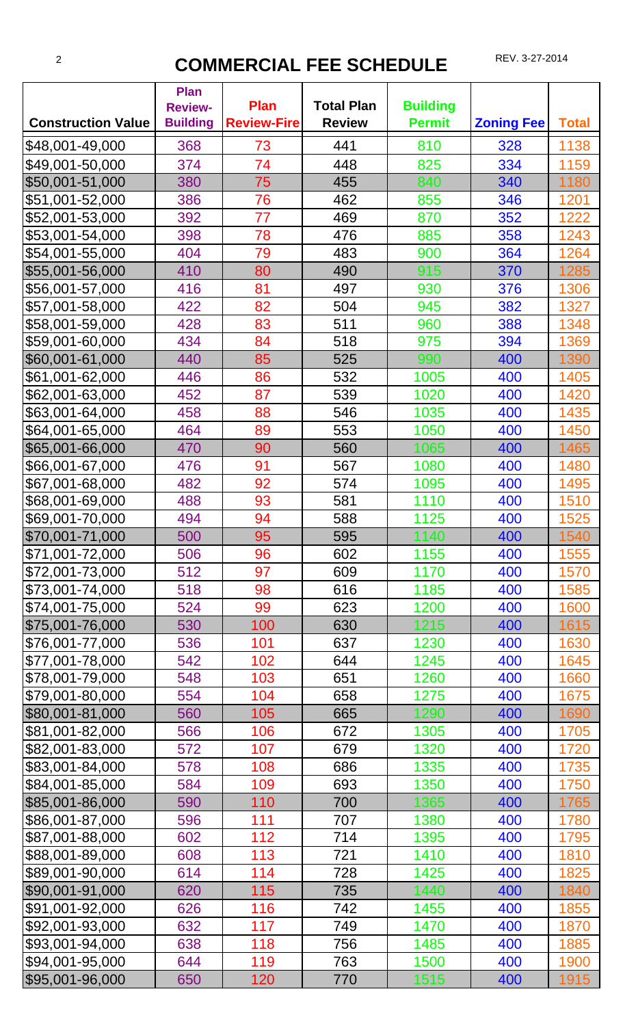## <sup>2</sup> **COMMERCIAL FEE SCHEDULE** REV. 3-27-2014

|                                    | <b>Plan</b><br><b>Review-</b> | <b>Plan</b>        | <b>Total Plan</b> | <b>Building</b> |                   |              |
|------------------------------------|-------------------------------|--------------------|-------------------|-----------------|-------------------|--------------|
| <b>Construction Value</b>          | <b>Building</b>               | <b>Review-Fire</b> | <b>Review</b>     | <b>Permit</b>   | <b>Zoning Fee</b> | <b>Total</b> |
| \$48,001-49,000                    | 368                           | 73                 | 441               | 810             | 328               | 1138         |
| \$49,001-50,000                    | 374                           | 74                 | 448               | 825             | 334               | 1159         |
| \$50,001-51,000                    | 380                           | 75                 | 455               | 840             | 340               | 1180         |
| \$51,001-52,000                    | 386                           | 76                 | 462               | 855             | 346               | 1201         |
| \$52,001-53,000                    | 392                           | 77                 | 469               | 870             | 352               | 1222         |
| \$53,001-54,000                    | 398                           | 78                 | 476               | 885             | 358               | 1243         |
| \$54,001-55,000                    | 404                           | 79                 | 483               | 900             | 364               | 1264         |
| \$55,001-56,000                    | 410                           | 80                 | 490               | 915             | 370               | 1285         |
| \$56,001-57,000                    | 416                           | 81                 | 497               | 930             | 376               | 1306         |
| \$57,001-58,000                    | 422                           | 82                 | 504               | 945             | 382               | 1327         |
| \$58,001-59,000                    | 428                           | 83                 | 511               | 960             | 388               | 1348         |
| \$59,001-60,000                    | 434                           | 84                 | 518               | 975             | 394               | 1369         |
| \$60,001-61,000                    | 440                           | 85                 | 525               | 990             | 400               | 1390         |
| \$61,001-62,000                    | 446                           | 86                 | 532               | 1005            | 400               | 1405         |
| \$62,001-63,000                    | 452                           | 87                 | 539               | 1020            | 400               | 1420         |
| \$63,001-64,000                    | 458                           | 88                 | 546               | 1035            | 400               | 1435         |
| \$64,001-65,000                    | 464                           | 89                 | 553               | 1050            | 400               | 1450         |
| \$65,001-66,000                    | 470                           | 90                 | 560               | 1065            | 400               | 1465         |
| \$66,001-67,000                    | 476                           | 91                 | 567               | 1080            | 400               | 1480         |
| \$67,001-68,000                    | 482                           | 92                 | 574               | 1095            | 400               | 1495         |
| \$68,001-69,000                    | 488                           | 93                 | 581               | 1110            | 400               | 1510         |
| \$69,001-70,000                    | 494                           | 94                 | 588               | 1125            | 400               | 1525         |
| \$70,001-71,000                    | 500                           | 95                 | 595               | 1140            | 400               | 1540         |
| \$71,001-72,000                    | 506                           | 96                 | 602               | 1155            | 400               | 1555         |
| \$72,001-73,000                    | 512                           | 97                 | 609               | 1170            | 400               | 1570         |
| \$73,001-74,000                    | 518                           | 98                 | 616               | 1185            | 400               | 1585         |
| \$74,001-75,000                    | 524                           | 99                 | 623               | 1200            | 400               | 1600         |
| \$75,001-76,000                    | 530                           | 100                | 630               | 1215            | 400               | 1615         |
| \$76,001-77,000                    | 536                           | 101                | 637               | 1230            | 400               | 1630         |
| \$77,001-78,000                    | 542                           | 102                | 644               | 1245            | 400               | 1645         |
| \$78,001-79,000                    | 548                           | 103                | 651               | 1260            | 400               | 1660         |
| \$79,001-80,000                    | 554                           | 104                | 658               | 1275            | 400               | 1675         |
| \$80,001-81,000                    | 560                           | 105                | 665               | 1290            | 400               | 1690         |
| \$81,001-82,000                    | 566                           | 106                | 672               | 1305            | 400               | 1705         |
| \$82,001-83,000                    | 572                           | 107                | 679               | 1320            | 400               | 1720         |
| \$83,001-84,000                    | 578                           | 108                | 686               | 1335            | 400               | 1735         |
| \$84,001-85,000                    | 584                           | 109                | 693               | 1350            | 400               | 1750         |
| \$85,001-86,000                    | 590                           | 110                | 700               | 1365            | 400               | 1765         |
| \$86,001-87,000                    | 596                           | 111                | 707               | 1380            | 400               | 1780         |
| \$87,001-88,000                    | 602                           | 112                | 714               | 1395            | 400               | 1795         |
| \$88,001-89,000                    | 608                           | 113                | 721               | 1410            | 400               | 1810         |
| \$89,001-90,000<br>\$90,001-91,000 | 614                           | 114                | 728               | 1425<br>1440    | 400               | 1825         |
|                                    | 620                           | 115                | 735               |                 | 400               | 1840         |
| \$91,001-92,000<br>\$92,001-93,000 | 626                           | 116<br>117         | 742               | 1455            | 400               | 1855         |
| \$93,001-94,000                    | 632<br>638                    | 118                | 749<br>756        | 1470<br>1485    | 400<br>400        | 1870<br>1885 |
| \$94,001-95,000                    | 644                           | 119                | 763               | 1500            | 400               | 1900         |
|                                    |                               |                    |                   | 1515            |                   |              |
| \$95,001-96,000                    | 650                           | 120                | 770               |                 | 400               | 1915         |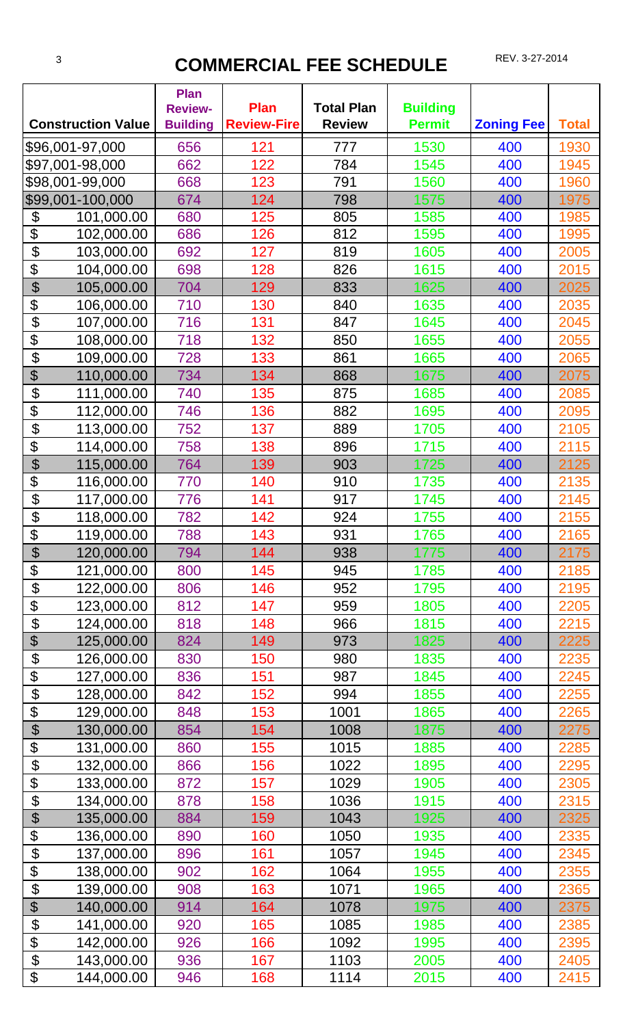## **3 COMMERCIAL FEE SCHEDULE** REV. 3-27-2014

|                            | <b>Construction Value</b> | <b>Plan</b><br><b>Review-</b><br><b>Building</b> | <b>Plan</b><br><b>Review-Fire</b> | <b>Total Plan</b><br><b>Review</b> | <b>Building</b><br><b>Permit</b> | <b>Zoning Fee</b> | <b>Total</b> |
|----------------------------|---------------------------|--------------------------------------------------|-----------------------------------|------------------------------------|----------------------------------|-------------------|--------------|
|                            | \$96,001-97,000           | 656                                              | 121                               | 777                                | 1530                             | 400               | 1930         |
|                            | \$97,001-98,000           | 662                                              | 122                               | 784                                | 1545                             | 400               | 1945         |
|                            | \$98,001-99,000           | 668                                              | 123                               | 791                                | 1560                             | 400               | 1960         |
|                            | \$99,001-100,000          | 674                                              | 124                               | 798                                | 1575                             | 400               | 1975         |
| \$                         | 101,000.00                | 680                                              | 125                               | 805                                | 1585                             | 400               | 1985         |
| \$                         | 102,000.00                | 686                                              | 126                               | 812                                | 1595                             | 400               | 1995         |
| \$                         | 103,000.00                | 692                                              | 127                               | 819                                | 1605                             | 400               | 2005         |
| \$                         | 104,000.00                | 698                                              | 128                               | 826                                | 1615                             | 400               | 2015         |
| \$                         | 105,000.00                | 704                                              | 129                               | 833                                | 1625                             | 400               | 2025         |
| \$                         | 106,000.00                | 710                                              | 130                               | 840                                | 1635                             | 400               | 2035         |
| \$                         | 107,000.00                | 716                                              | 131                               | 847                                | 1645                             | 400               | 2045         |
| \$                         | 108,000.00                | 718                                              | 132                               | 850                                | 1655                             | 400               | 2055         |
| \$                         | 109,000.00                | 728                                              | 133                               | 861                                | 1665                             | 400               | 2065         |
| \$                         | 110,000.00                | 734                                              | 134                               | 868                                | 1675                             | 400               | 2075         |
| \$                         | 111,000.00                | 740                                              | 135                               | 875                                | 1685                             | 400               | 2085         |
| \$                         | 112,000.00                | 746                                              | 136                               | 882                                | 1695                             | 400               | 2095         |
| \$                         | 113,000.00                | 752                                              | 137                               | 889                                | 1705                             | 400               | 2105         |
| \$                         | 114,000.00                | 758                                              | 138                               | 896                                | 1715                             | 400               | 2115         |
| \$                         | 115,000.00                | 764                                              | 139                               | 903                                | 1725                             | 400               | 2125         |
| \$                         | 116,000.00                | 770                                              | 140                               | 910                                | 1735                             | 400               | 2135         |
| \$                         | 117,000.00                | 776                                              | 141                               | 917                                | 1745                             | 400               | 2145         |
| \$                         | 118,000.00                | 782                                              | 142                               | 924                                | 1755                             | 400               | 2155         |
| \$                         | 119,000.00                | 788                                              | 143                               | 931                                | 1765                             | 400               | 2165         |
| $\boldsymbol{\theta}$      | 120,000.00                | 794                                              | 144                               | 938                                | 1775                             | 400               | 2175         |
| \$                         | 121,000.00                | 800                                              | 145                               | 945                                | 1785                             | 400               | 2185         |
| \$                         | 122,000.00                | 806                                              | 146                               | 952                                | 1795                             | 400               | 2195         |
| \$                         | 123,000.00                | 812                                              | 147                               | 959                                | 1805                             | 400               | 2205         |
| \$                         | 124,000.00                | 818                                              | 148                               | 966                                | 1815                             | 400               | 2215         |
| $\boldsymbol{\theta}$      | 125,000.00                | 824                                              | 149                               | 973                                | 1825                             | 400               | 2225         |
| \$                         | 126,000.00                | 830                                              | 150                               | 980                                | 1835                             | 400               | 2235         |
| \$                         | 127,000.00                | 836                                              | 151                               | 987                                | 1845                             | 400               | 2245         |
| \$                         | 128,000.00                | 842                                              | 152                               | 994                                | 1855                             | 400               | 2255         |
| $\boldsymbol{\mathsf{S}}$  | 129,000.00                | 848                                              | 153                               | 1001                               | 1865                             | 400               | 2265         |
| $\boldsymbol{\theta}$      | 130,000.00                | 854                                              | 154                               | 1008                               | 1875                             | 400               | 2275         |
| \$                         | 131,000.00                | 860                                              | 155                               | 1015                               | 1885                             | 400               | 2285         |
| \$                         | 132,000.00                | 866                                              | 156                               | 1022                               | 1895                             | 400               | 2295         |
| \$                         | 133,000.00                | 872                                              | 157                               | 1029                               | 1905                             | 400               | 2305         |
| \$                         | 134,000.00                | 878                                              | 158                               | 1036                               | 1915                             | 400               | 2315         |
| \$                         | 135,000.00                | 884                                              | 159                               | 1043                               | 1925                             | 400               | 2325         |
| \$                         | 136,000.00                | 890                                              | 160                               | 1050                               | 1935                             | 400               | 2335         |
| \$                         | 137,000.00                | 896                                              | 161                               | 1057                               | 1945                             | 400               | 2345         |
| \$                         | 138,000.00                | 902                                              | 162                               | 1064                               | 1955                             | 400               | 2355         |
| \$                         | 139,000.00                | 908                                              | 163                               | 1071                               | 1965                             | 400               | 2365         |
| $\boldsymbol{\theta}$      | 140,000.00                | 914                                              | 164                               | 1078                               | 1975                             | 400               | 2375         |
| \$                         | 141,000.00                | 920                                              | 165                               | 1085                               | 1985                             | 400               | 2385         |
| \$                         | 142,000.00                | 926                                              | 166                               | 1092                               | 1995                             | 400               | 2395         |
| $\boldsymbol{\mathsf{\$}}$ | 143,000.00                | 936                                              | 167                               | 1103                               | 2005                             | 400               | 2405         |
| \$                         | 144,000.00                | 946                                              | 168                               | 1114                               | 2015                             | 400               | 2415         |